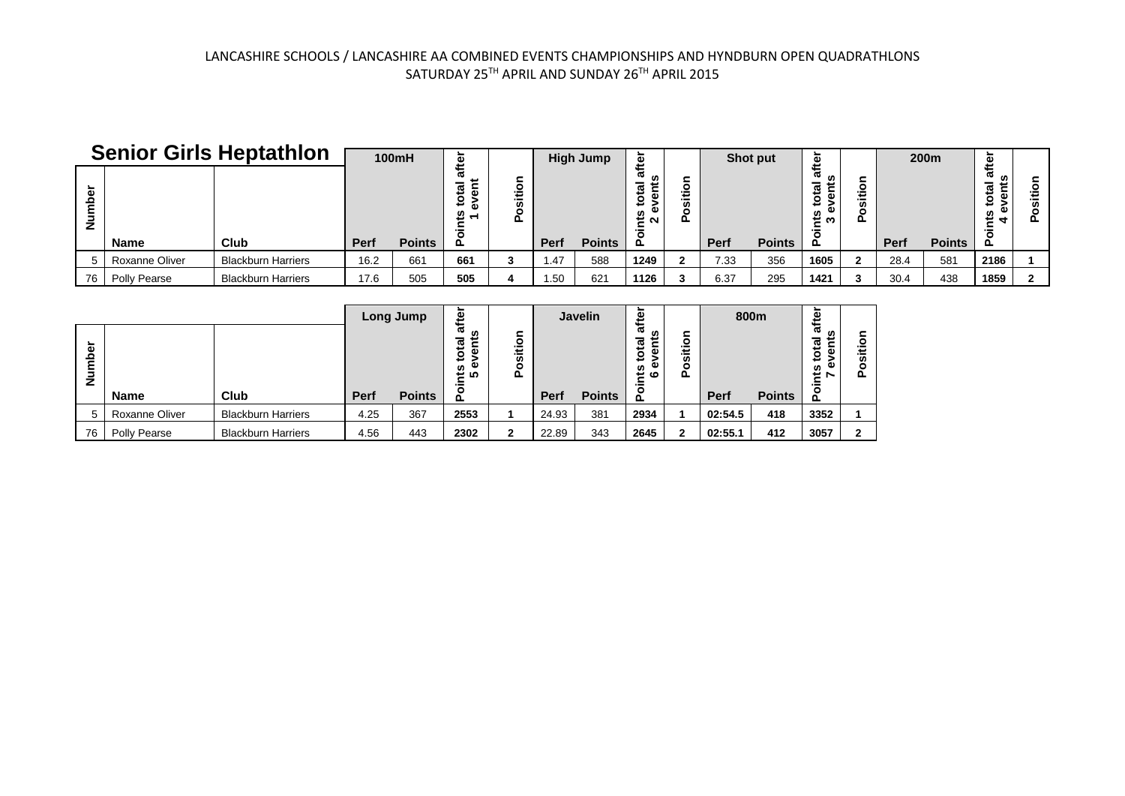|      |                | <b>Senior Girls Heptathlon</b> |             | <b>100mH</b>  |                                                          |        |      | <b>High Jump</b> | ত                                  |             | Shot put      | Φ      |              |      | 200 <sub>m</sub> | after                                 |  |
|------|----------------|--------------------------------|-------------|---------------|----------------------------------------------------------|--------|------|------------------|------------------------------------|-------------|---------------|--------|--------------|------|------------------|---------------------------------------|--|
| Numb | <b>Name</b>    | Club                           | <b>Perf</b> | <b>Points</b> | ᠭᠣ<br>ಕ<br>Ξ<br>요<br>n,<br>$\overline{\phantom{0}}$<br>௳ | ≈<br>÷ | Perf | <b>Points</b>    | $\overline{\mathbf{a}}$<br>2N<br>൨ | <b>Perf</b> | <b>Points</b> | ω<br>ന | <br>. .<br>௨ | Perf | <b>Points</b>    | 唇<br>៓<br>w<br>÷<br>$\mathbf{r}$<br>൨ |  |
|      | Roxanne Oliver | <b>Blackburn Harriers</b>      | 16.2        | 661           | 661                                                      |        | 1.47 | 588              | 1249                               | 7.33        | 356           | 1605   |              | 28.4 | 581              | 2186                                  |  |
| 76   | Polly Pearse   | <b>Blackburn Harriers</b>      | 17.6        | 505           | 505                                                      |        | 1.50 | 621              | 1126                               | 6.37        | 295           | 1421   |              | 30.4 | 438              | 1859                                  |  |

|    |                |                           |      | Long Jump     | after                                       |             |             | <b>Javelin</b> | after                                                         |              |             | 800m          | after                                                                              |                  |
|----|----------------|---------------------------|------|---------------|---------------------------------------------|-------------|-------------|----------------|---------------------------------------------------------------|--------------|-------------|---------------|------------------------------------------------------------------------------------|------------------|
| ە  |                | <b>Club</b>               |      |               | ഗ<br>-<br>ā<br>$\overline{5}$<br>ω<br>ង ក្ន | ≖<br>∸<br>ւ |             |                | n<br>-<br>total<br>c<br>$\mathbf{\omega}$<br>w<br>₩<br>ڡ<br>o | --<br>≖<br>∸ |             |               | w<br>$\overline{\phantom{0}}$<br>total<br>Ξ<br>ω<br>ω<br>$\frac{15}{7}$<br>$\circ$ | sition<br>o<br>௨ |
|    | <b>Name</b>    |                           | Perf | <b>Points</b> | ൨                                           |             | <b>Perf</b> | <b>Points</b>  | $\mathbf{a}$                                                  |              | <b>Perf</b> | <b>Points</b> | ௳                                                                                  |                  |
|    | Roxanne Oliver | <b>Blackburn Harriers</b> | 4.25 | 367           | 2553                                        |             | 24.93       | 381            | 2934                                                          |              | 02:54.5     | 418           | 3352                                                                               |                  |
| 76 | Polly Pearse   | <b>Blackburn Harriers</b> | 4.56 | 443           | 2302                                        | ◠           | 22.89       | 343            | 2645                                                          |              | 02:55.1     | 412           | 3057                                                                               | າ                |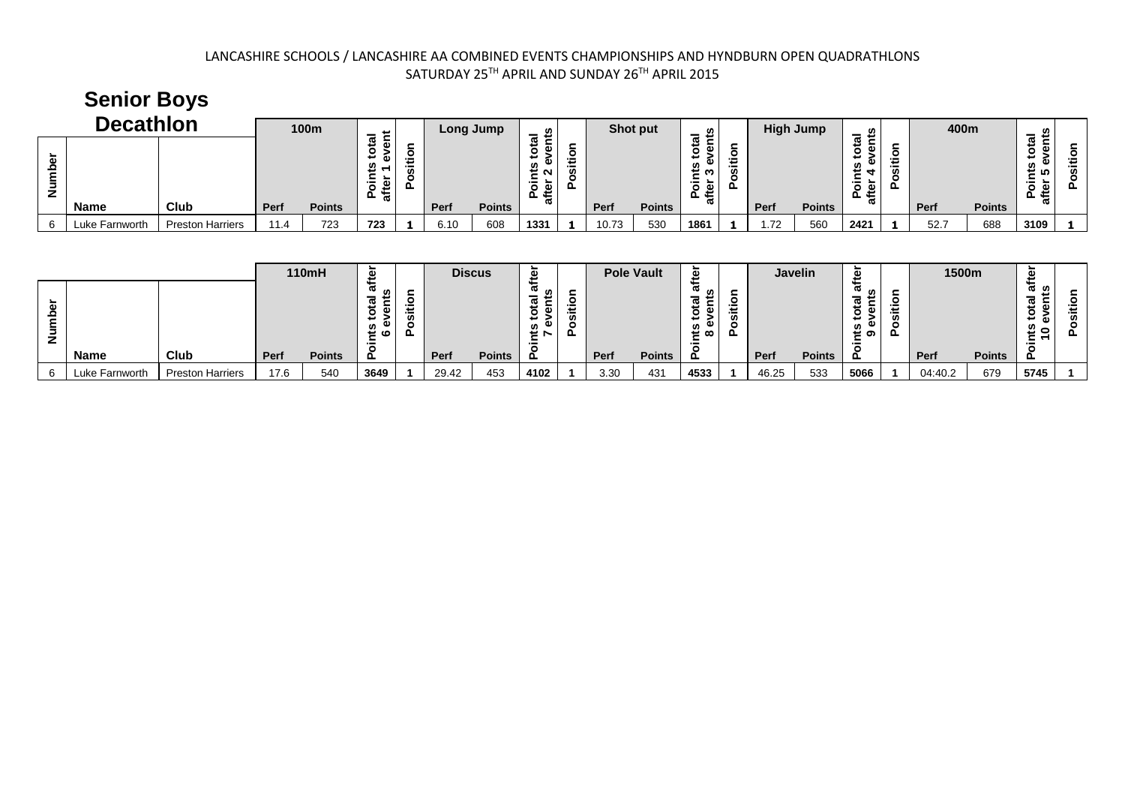**Senior Boys** 

|    | OVINYI PUJU      |                         |      |               |                         |        |      |               |                                      |               |       |               |                              |                   |      |                  |                                                |                                     |      |               |          |   |
|----|------------------|-------------------------|------|---------------|-------------------------|--------|------|---------------|--------------------------------------|---------------|-------|---------------|------------------------------|-------------------|------|------------------|------------------------------------------------|-------------------------------------|------|---------------|----------|---|
|    | <b>Decathlon</b> |                         |      | 100m          | سه<br>-                 |        |      | Long Jump     | <b>SC</b><br>=                       |               |       | Shot put      | ഗ<br>-                       |                   |      | <b>High Jump</b> | ഗ                                              |                                     | 400m |               |          |   |
| ž. | <b>Name</b>      | Club                    | Perf | <b>Points</b> | È.<br>る<br>--<br>능<br>ւ | <br>ու | Perf | <b>Points</b> | ā۶<br>w<br>⊷ ∼<br>$-$<br>ഉ<br>൨<br>둖 | Ξ<br>$-$<br>௳ | Perf  | <b>Points</b> | ω<br>Φ<br>യ<br>ட<br>$\omega$ | --<br>$\sim$<br>ո | Perf | <b>Points</b>    | ಕ<br>Φ<br>w<br>.≃<br>$\circ$<br>Φ<br>$\bar{a}$ | --<br>$\overline{\phantom{a}}$<br>௳ | Perf | <b>Points</b> | ⇔ ທ<br>ட | ௳ |
|    | Luke Farnworth   | <b>Preston Harriers</b> | 11.4 | 723           | 723                     |        | 6.10 | 608           | 1331                                 |               | 10.73 | 530           | 1861                         |                   | . 72 | 560              | 2421                                           |                                     | 52.7 | 688           | 3109     |   |

|        |                |                         |      | 110mH         | $\overline{\mathbf{a}}$<br>÷                          |         |       | <b>Discus</b> |                                                             |             |      | <b>Pole Vault</b> |                                                  |                        |       | Javelin       | ഉ                                |                             | 1500m   |               |                      |  |
|--------|----------------|-------------------------|------|---------------|-------------------------------------------------------|---------|-------|---------------|-------------------------------------------------------------|-------------|------|-------------------|--------------------------------------------------|------------------------|-------|---------------|----------------------------------|-----------------------------|---------|---------------|----------------------|--|
| 을<br>z | Name           | Club                    | Perf | <b>Points</b> | ৳<br>-<br>$\overline{\mathbf{a}}$<br>⊶<br>≖<br>ഄ<br>௨ | ≖<br>ш. | Perf  | <b>Points</b> | ᢐ<br><b>SC</b><br>$\overline{\phantom{a}}$<br>έñ<br>ビト<br>௳ | τ<br>∸<br>௳ | Perf | <b>Points</b>     | ൚<br>U.<br>$\overline{ }$<br>൹<br>G)<br>c<br>≝ ∞ | o<br>Φ<br>--<br>w<br>ட | Perf  | <b>Points</b> | ൹<br>w<br>-<br>⊆<br>ℼ<br>ലത<br>௨ | o<br>Ξ<br>m<br>$\circ$<br>௨ | Perf    | <b>Points</b> | ര ഗ<br>►<br>ω<br>" ი |  |
|        | Luke Farnworth | <b>Preston Harriers</b> | 17.6 | 540           | 3649                                                  |         | 29.42 | 453           | 4102                                                        |             | 3.30 | 431               | 4533                                             |                        | 46.25 | 533           | 5066                             |                             | 04:40.2 | 679           | 5745                 |  |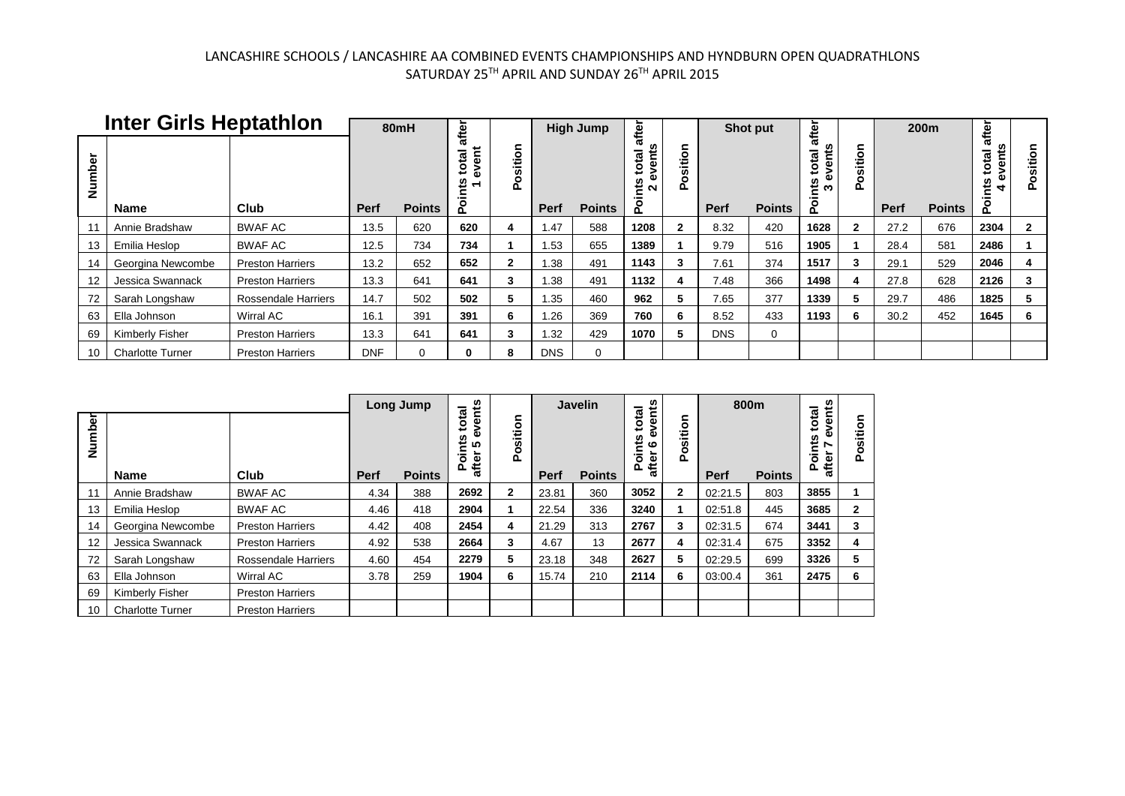|        | <b>Inter Girls Heptathlon</b> |                         |             | 80mH          | after                                                        |                    |             | <b>High Jump</b> | after                                    |                          |             | Shot put      | after                     |                                 |             | 200 <sub>m</sub> | after                                             |               |
|--------|-------------------------------|-------------------------|-------------|---------------|--------------------------------------------------------------|--------------------|-------------|------------------|------------------------------------------|--------------------------|-------------|---------------|---------------------------|---------------------------------|-------------|------------------|---------------------------------------------------|---------------|
| Number | <b>Name</b>                   | Club                    | <b>Perf</b> | <b>Points</b> | event<br>total<br>ℒ<br>$\overline{\phantom{0}}$<br>์อิ<br>Ő. | ⊆<br>osition<br>o. | <b>Perf</b> | <b>Points</b>    | total<br>ēnt<br>nts<br>$\sim$<br>o<br>Ő. | ⊂<br>itio<br>s<br>۰<br>۵ | <b>Perf</b> | <b>Points</b> | total<br>ត្ត<br>nts<br>ő. | c<br>itio<br>w<br>$\circ$<br>o. | <b>Perf</b> | <b>Points</b>    | events<br>total<br>Points<br>$\blacktriangledown$ | osition<br>o. |
|        | Annie Bradshaw                | <b>BWAF AC</b>          | 13.5        | 620           | 620                                                          | 4                  | 1.47        | 588              | 1208                                     | $\mathbf{2}$             | 8.32        | 420           | 1628                      | $\mathbf{2}$                    | 27.2        | 676              | 2304                                              | $\mathbf{2}$  |
| 13     | Emilia Heslop                 | <b>BWAF AC</b>          | 12.5        | 734           | 734                                                          |                    | 1.53        | 655              | 1389                                     |                          | 9.79        | 516           | 1905                      |                                 | 28.4        | 581              | 2486                                              |               |
| 14     | Georgina Newcombe             | <b>Preston Harriers</b> | 13.2        | 652           | 652                                                          | $\mathbf{2}$       | 1.38        | 491              | 1143                                     | 3                        | 7.61        | 374           | 1517                      |                                 | 29.1        | 529              | 2046                                              | Δ             |
| 12     | Jessica Swannack              | <b>Preston Harriers</b> | 13.3        | 641           | 641                                                          | 3                  | 1.38        | 491              | 1132                                     | 4                        | 7.48        | 366           | 1498                      |                                 | 27.8        | 628              | 2126                                              | 3             |
| 72     | Sarah Longshaw                | Rossendale Harriers     | 14.7        | 502           | 502                                                          | 5                  | 1.35        | 460              | 962                                      | 5                        | 7.65        | 377           | 1339                      |                                 | 29.7        | 486              | 1825                                              | 5             |
| 63     | Ella Johnson                  | Wirral AC               | 16.1        | 391           | 391                                                          | 6                  | 1.26        | 369              | 760                                      | 6                        | 8.52        | 433           | 1193                      |                                 | 30.2        | 452              | 1645                                              | 6             |
| 69     | Kimberly Fisher               | <b>Preston Harriers</b> | 13.3        | 641           | 641                                                          | 3                  | 1.32        | 429              | 1070                                     | 5                        | <b>DNS</b>  | $\Omega$      |                           |                                 |             |                  |                                                   |               |
| 10     | <b>Charlotte Turner</b>       | <b>Preston Harriers</b> | <b>DNF</b>  | $\Omega$      | 0                                                            | 8                  | <b>DNS</b>  | $\Omega$         |                                          |                          |             |               |                           |                                 |             |                  |                                                   |               |

|        |                         |                            |             | Long Jump     | nts                                |                   |       | <b>Javelin</b> |                                               |                   |             | 800m          |                                       |               |
|--------|-------------------------|----------------------------|-------------|---------------|------------------------------------|-------------------|-------|----------------|-----------------------------------------------|-------------------|-------------|---------------|---------------------------------------|---------------|
| Number | <b>Name</b>             | Club                       | <b>Perf</b> | <b>Points</b> | total<br>ğ<br>Points<br>ທ<br>after | sition<br>۰<br>o. | Perf  | <b>Points</b>  | events<br>total<br>Points<br>$\circ$<br>after | sition<br>۰<br>Ő. | <b>Perf</b> | <b>Points</b> | total<br>wents<br>oints<br>∼<br>after | osition<br>o. |
| 11     | Annie Bradshaw          | <b>BWAF AC</b>             | 4.34        | 388           | 2692                               | $\mathbf{2}$      | 23.81 | 360            | 3052                                          | $\mathbf{2}$      | 02:21.5     | 803           | 3855                                  |               |
| 13     | Emilia Heslop           | <b>BWAF AC</b>             | 4.46        | 418           | 2904                               |                   | 22.54 | 336            | 3240                                          |                   | 02:51.8     | 445           | 3685                                  | $\mathbf{2}$  |
| 14     | Georgina Newcombe       | <b>Preston Harriers</b>    | 4.42        | 408           | 2454                               | 4                 | 21.29 | 313            | 2767                                          | 3                 | 02:31.5     | 674           | 3441                                  | 3             |
| 12     | Jessica Swannack        | <b>Preston Harriers</b>    | 4.92        | 538           | 2664                               | 3                 | 4.67  | 13             | 2677                                          | 4                 | 02:31.4     | 675           | 3352                                  | 4             |
| 72     | Sarah Longshaw          | <b>Rossendale Harriers</b> | 4.60        | 454           | 2279                               | 5                 | 23.18 | 348            | 2627                                          | 5.                | 02:29.5     | 699           | 3326                                  | 5             |
| 63     | Ella Johnson            | Wirral AC                  | 3.78        | 259           | 1904                               | 6                 | 15.74 | 210            | 2114                                          | 6                 | 03:00.4     | 361           | 2475                                  | 6             |
| 69     | Kimberly Fisher         | <b>Preston Harriers</b>    |             |               |                                    |                   |       |                |                                               |                   |             |               |                                       |               |
| 10     | <b>Charlotte Turner</b> | <b>Preston Harriers</b>    |             |               |                                    |                   |       |                |                                               |                   |             |               |                                       |               |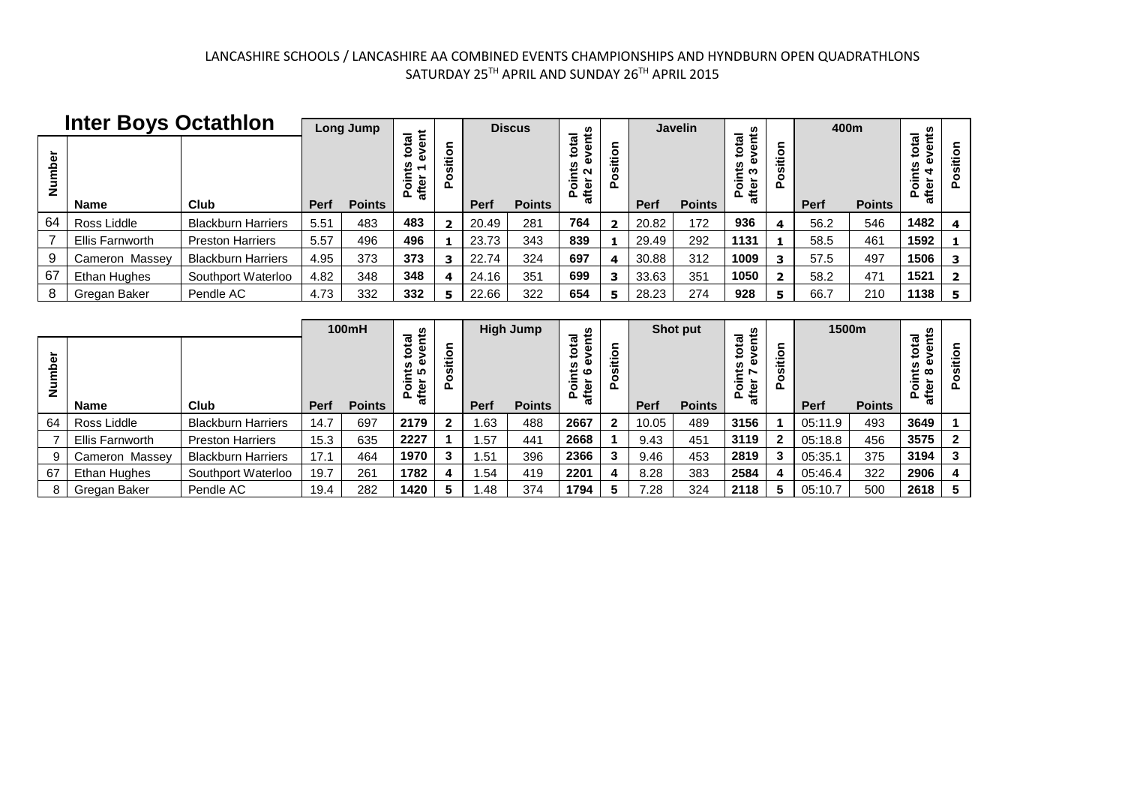|               | <b>Inter Boys Octathlon</b> |                           |      | Long Jump     |                 |             | <b>Discus</b> |                       |                  |       | Javelin       | n                                         |        | 400m |               | ŵ                             |   |
|---------------|-----------------------------|---------------------------|------|---------------|-----------------|-------------|---------------|-----------------------|------------------|-------|---------------|-------------------------------------------|--------|------|---------------|-------------------------------|---|
| $\frac{5}{2}$ |                             |                           |      |               | Φ<br>Ô<br>Poile |             |               | Ë<br>ថ្ង<br>afte<br>௳ | sition<br>۰<br>൨ |       |               | total<br>ω<br>nts<br>ო<br>Poi<br>Φ<br>- ∉ | sition |      |               | total<br>nts<br>้อิ<br>ୁ<br>௳ |   |
|               | <b>Name</b>                 | Club                      | Perf | <b>Points</b> |                 | <b>Perf</b> | <b>Points</b> |                       |                  | Perf  | <b>Points</b> |                                           |        | Perf | <b>Points</b> |                               |   |
| 64            | Ross Liddle                 | <b>Blackburn Harriers</b> | 5.51 | 483           | 483             | 20.49       | 281           | 764                   | $\overline{2}$   | 20.82 | 172           | 936                                       | 4      | 56.2 | 546           | 1482                          | 4 |
|               | <b>Ellis Farnworth</b>      | <b>Preston Harriers</b>   | 5.57 | 496           | 496             | 23.73       | 343           | 839                   |                  | 29.49 | 292           | 1131                                      |        | 58.5 | 461           | 1592                          |   |
| 9             | Cameron Massey              | <b>Blackburn Harriers</b> | 4.95 | 373           | 373             | 22.74       | 324           | 697                   | 4                | 30.88 | 312           | 1009                                      | З      | 57.5 | 497           | 1506                          | 3 |
| 67            | Ethan Hughes                | Southport Waterloo        | 4.82 | 348           | 348             | 24.16       | 351           | 699                   |                  | 33.63 | 351           | 1050                                      |        | 58.2 | 471           | 1521                          |   |
| 8             | Gregan Baker                | Pendle AC                 | 4.73 | 332           | 332             | 22.66       | 322           | 654                   | 5.               | 28.23 | 274           | 928                                       | 5      | 66.7 | 210           | 1138                          | 5 |

|             |                 |                           |             | <b>100mH</b>  | n                                 |        |             | <b>High Jump</b> | w                             |                        |                | Shot put      | <b>S</b>                           |        | 1500m   |               | w                               |   |
|-------------|-----------------|---------------------------|-------------|---------------|-----------------------------------|--------|-------------|------------------|-------------------------------|------------------------|----------------|---------------|------------------------------------|--------|---------|---------------|---------------------------------|---|
| 눕<br>은<br>룯 |                 |                           |             |               | total<br>Φ<br>ະ ທ<br>Poi<br>after | ≖<br>൨ |             |                  | ಸ<br>έ<br>Φ<br>۰<br>afte<br>௳ | δ<br>Ξ<br>w<br>۰<br>o. |                |               | £<br>ω<br>٦É<br>r<br>្ថិ ខ្ញុ<br>൨ | sition |         |               | total<br>nts<br>$\infty$<br>Poi |   |
|             | <b>Name</b>     | Club                      | <b>Perf</b> | <b>Points</b> |                                   |        | <b>Perf</b> | <b>Points</b>    |                               |                        | Perf           | <b>Points</b> |                                    |        | Perf    | <b>Points</b> |                                 |   |
| 64          | Ross Liddle     | <b>Blackburn Harriers</b> | 14.7        | 697           | 2179                              |        | 1.63        | 488              | 2667                          | $\mathbf{2}$           | 10.05          | 489           | 3156                               |        | 05:11.9 | 493           | 3649                            |   |
|             | Ellis Farnworth | <b>Preston Harriers</b>   | 15.3        | 635           | 2227                              |        | 1.57        | 441              | 2668                          |                        | 9.43           | 451           | 3119                               |        | 05:18.8 | 456           | 3575                            |   |
|             | Cameron Massey  | <b>Blackburn Harriers</b> | 17.1        | 464           | 1970                              |        | 1.51        | 396              | 2366                          | 3                      | 9.46           | 453           | 2819                               | 3      | 05:35.7 | 375           | 3194                            |   |
| 67          | Ethan Hughes    | Southport Waterloo        | 19.7        | 261           | 1782                              |        | 1.54        | 419              | 2201                          |                        | 8.28           | 383           | 2584                               | 4      | 05:46.4 | 322           | 2906                            |   |
|             | Gregan Baker    | Pendle AC                 | 19.4        | 282           | 1420                              |        | 1.48        | 374              | 1794                          | 5                      | $^{\prime}.28$ | 324           | 2118                               | 5      | 05:10.7 | 500           | 2618                            | 5 |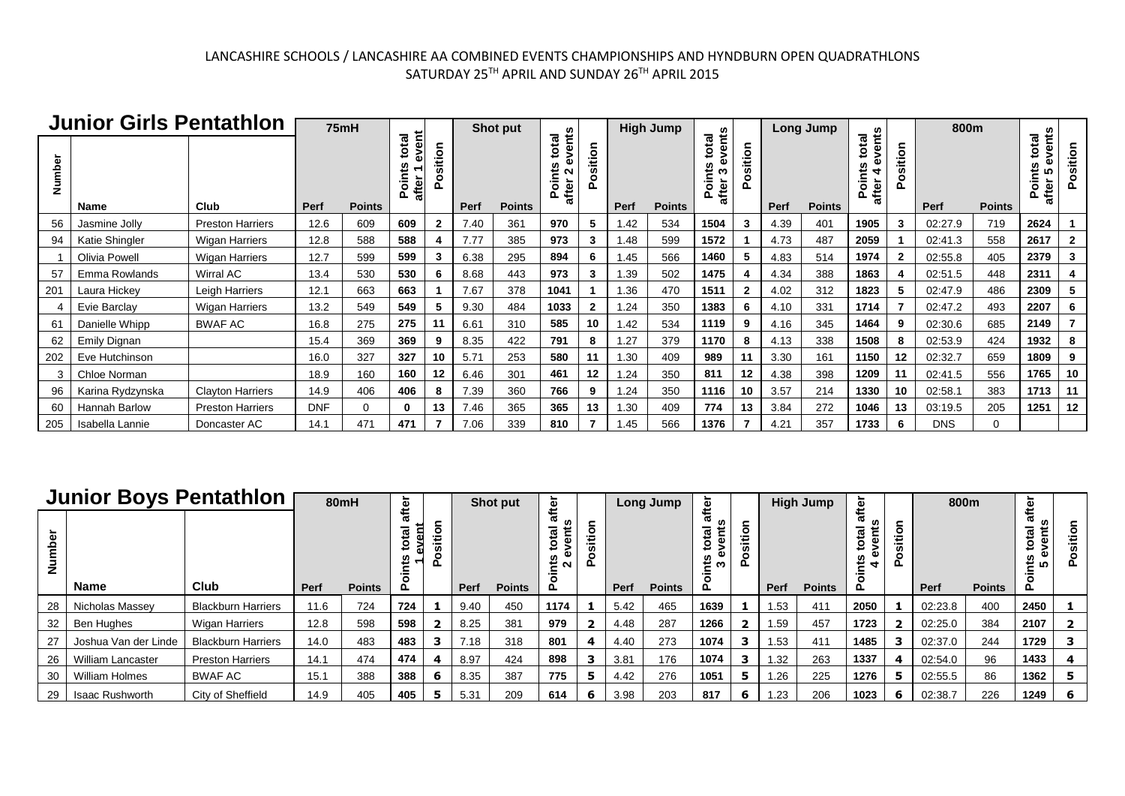|        | <b>Junior Girls Pentathlon</b> |                         |            | 75mH          |                                   |                |      | <b>Shot put</b> | 5                                             |              |      | <b>High Jump</b> | 5                                          |              |      | <b>Long Jump</b> |                                                  |              | 800m       |               |                               |                         |
|--------|--------------------------------|-------------------------|------------|---------------|-----------------------------------|----------------|------|-----------------|-----------------------------------------------|--------------|------|------------------|--------------------------------------------|--------------|------|------------------|--------------------------------------------------|--------------|------------|---------------|-------------------------------|-------------------------|
| Number |                                |                         |            |               | event<br>total<br>᠆<br>ä<br>after | sition<br>۰    |      |                 | 1a<br>ën<br>Ö<br>∸<br>$\circ$<br>ω<br>둖<br>Δ. | sition<br>۰  |      |                  | total<br>yen<br>ä١<br>Points<br>ო<br>after | sition<br>۰  |      |                  | ents<br>total<br>U.<br><b>Jint</b><br>aftei<br>۵ | sition       |            |               | events<br>total<br>after<br>٥ | sition<br>۰             |
|        | <b>Name</b>                    | Club                    | Perf       | <b>Points</b> |                                   |                | Perf | <b>Points</b>   |                                               |              | Perf | <b>Points</b>    |                                            |              | Perf | <b>Points</b>    |                                                  |              | Perf       | <b>Points</b> |                               |                         |
| 56     | Jasmine Jolly                  | <b>Preston Harriers</b> | 12.6       | 609           | 609                               | $\overline{2}$ | 7.40 | 361             | 970                                           | 5            | .42  | 534              | 1504                                       | 3            | 4.39 | 401              | 1905                                             | 3            | 02:27.9    | 719           | 2624                          |                         |
| 94     | Katie Shingler                 | <b>Wigan Harriers</b>   | 12.8       | 588           | 588                               |                | 7.77 | 385             | 973                                           | 3            | .48  | 599              | 1572                                       |              | 4.73 | 487              | 2059                                             |              | 02:41.3    | 558           | 2617                          | $\overline{\mathbf{2}}$ |
|        | Olivia Powell                  | <b>Wigan Harriers</b>   | 12.7       | 599           | 599                               | 3              | 6.38 | 295             | 894                                           | 6            | .45  | 566              | 1460                                       | 5            | 4.83 | 514              | 1974                                             | $\mathbf{2}$ | 02:55.8    | 405           | 2379                          | $\mathbf{3}$            |
| 57     | Emma Rowlands                  | Wirral AC               | 13.4       | 530           | 530                               | 6              | 8.68 | 443             | 973                                           | 3            | 1.39 | 502              | 1475                                       |              | 4.34 | 388              | 1863                                             |              | 02:51.5    | 448           | 2311                          |                         |
| 201    | Laura Hickey                   | Leigh Harriers          | 12.1       | 663           | 663                               |                | 7.67 | 378             | 1041                                          |              | 1.36 | 470              | 1511                                       | $\mathbf{2}$ | 4.02 | 312              | 1823                                             | 5            | 02:47.9    | 486           | 2309                          | -5                      |
|        | Evie Barclay                   | <b>Wigan Harriers</b>   | 13.2       | 549           | 549                               | 5              | 9.30 | 484             | 1033                                          | $\mathbf{2}$ | 1.24 | 350              | 1383                                       | 6            | 4.10 | 331              | 1714                                             |              | 02:47.2    | 493           | 2207                          | -6                      |
| 61     | Danielle Whipp                 | <b>BWAF AC</b>          | 16.8       | 275           | 275                               | 11             | 6.61 | 310             | 585                                           | 10           | 1.42 | 534              | 1119                                       | 9            | 4.16 | 345              | 1464                                             | 9            | 02:30.6    | 685           | 2149                          |                         |
| 62     | Emily Dignan                   |                         | 15.4       | 369           | 369                               | 9              | 8.35 | 422             | 791                                           | 8            | .27  | 379              | 1170                                       | 8            | 4.13 | 338              | 1508                                             | 8            | 02:53.9    | 424           | 1932                          | -8                      |
| 202    | Eve Hutchinson                 |                         | 16.0       | 327           | 327                               | 10             | 5.71 | 253             | 580                                           | 11           | 1.30 | 409              | 989                                        | 11           | 3.30 | 161              | 1150                                             | 12           | 02:32.7    | 659           | 1809                          | -9                      |
| 3      | Chloe Norman                   |                         | 18.9       | 160           | 160                               | 12             | 6.46 | 301             | 461                                           | 12           | 1.24 | 350              | 811                                        | 12           | 4.38 | 398              | 1209                                             | 11           | 02:41.5    | 556           | 1765                          | 10                      |
| 96     | Karina Rydzynska               | <b>Clayton Harriers</b> | 14.9       | 406           | 406                               | 8              | 7.39 | 360             | 766                                           | 9            | .24  | 350              | 1116                                       | 10           | 3.57 | 214              | 1330                                             | 10           | 02:58.1    | 383           | 1713                          | 11                      |
| 60     | <b>Hannah Barlow</b>           | <b>Preston Harriers</b> | <b>DNF</b> | $\Omega$      | $\bf{0}$                          | 13             | 7.46 | 365             | 365                                           | 13           | 1.30 | 409              | 774                                        | 13           | 3.84 | 272              | 1046                                             | 13           | 03:19.5    | 205           | 1251                          | 12                      |
| 205    | Isabella Lannie                | Doncaster AC            | 14.1       | 471           | 471                               |                | 7.06 | 339             | 810                                           |              | .45  | 566              | 1376                                       |              | 4.21 | 357              | 1733                                             | 6            | <b>DNS</b> | $\Omega$      |                               |                         |

|           | <b>Junior Boys Pentathlon</b> |                           |             | 80mH          | ter<br># |                    |      | Shot put      | ত      |   |      | Long Jump     | ğ           |    |      | <b>High Jump</b> | ្ទ្រ |   | 800m        |               |        |                |
|-----------|-------------------------------|---------------------------|-------------|---------------|----------|--------------------|------|---------------|--------|---|------|---------------|-------------|----|------|------------------|------|---|-------------|---------------|--------|----------------|
| $\vec{z}$ | Name                          | Club                      | <b>Perf</b> | <b>Points</b> |          | --<br>$\mathbf{a}$ | Perf | <b>Points</b> | ົ<br>௨ | ௳ | Perf | <b>Points</b> | ത<br>ო<br>ᄘ | ൨  | Perf | <b>Points</b>    | ≂    |   | <b>Perf</b> | <b>Points</b> | Ю<br>௳ | <u>န</u><br>šË |
| 28        | Nicholas Massey               | <b>Blackburn Harriers</b> | 11.6        | 724           | 724      |                    | 9.40 | 450           | 1174   |   | 5.42 | 465           | 1639        |    | 1.53 | 411              | 2050 |   | 02:23.8     | 400           | 2450   |                |
| 32        | Ben Hughes                    | Wigan Harriers            | 12.8        | 598           | 598      |                    | 8.25 | 381           | 979    |   | 4.48 | 287           | 1266        |    | 1.59 | 457              | 1723 | 2 | 02:25.0     | 384           | 2107   |                |
|           | Joshua Van der Linde          | <b>Blackburn Harriers</b> | 14.0        | 483           | 483      |                    | 7.18 | 318           | 801    | 4 | 4.40 | 273           | 1074        | 3  | 1.53 | 411              | 1485 | 3 | 02:37.0     | 244           | 1729   |                |
| 26        | William Lancaster             | <b>Preston Harriers</b>   | 14.1        | 474           | 474      |                    | 8.97 | 424           | 898    | 3 | 3.81 | 176           | 1074        | 3  | 1.32 | 263              | 1337 | 4 | 02:54.0     | 96            | 1433   | 4              |
| 30        | William Holmes                | <b>BWAF AC</b>            | 15.1        | 388           | 388      | Ð                  | 8.35 | 387           | 775    | 5 | 4.42 | 276           | 1051        | 5. | 1.26 | 225              | 1276 | 5 | 02:55.5     | 86            | 1362   | 5              |
| 29        | Isaac Rushworth               | City of Sheffield         | 14.9        | 405           | 405      | Б                  | 5.31 | 209           | 614    | 6 | 3.98 | 203           | 817         | ь  | 1.23 | 206              | 1023 | 6 | 02:38.7     | 226           | 1249   | 6              |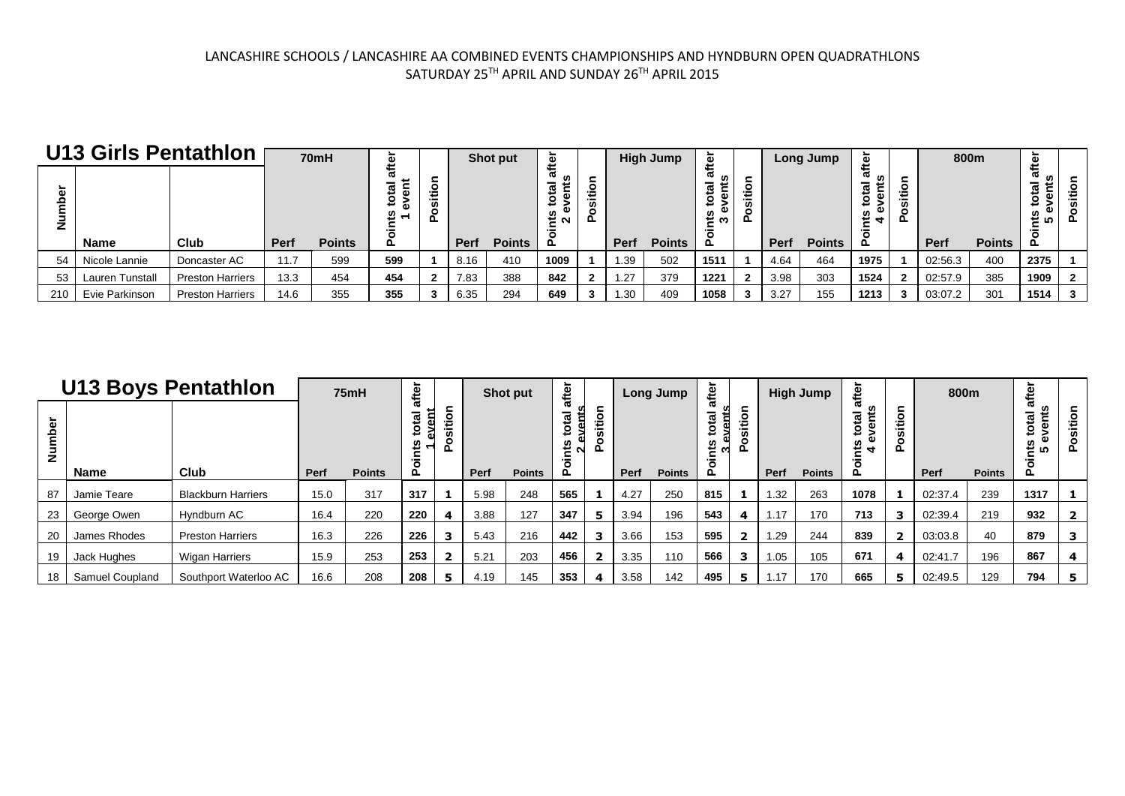|     | <b>U13 Girls Pentathlon</b> |                         |      | 70mH          |                    |                       |      | Shot put      | 亘                                    |   |             | <b>High Jump</b> | 효                                    |            |             | <b>Long Jump</b> |      |   | 800m        |               |          |              |
|-----|-----------------------------|-------------------------|------|---------------|--------------------|-----------------------|------|---------------|--------------------------------------|---|-------------|------------------|--------------------------------------|------------|-------------|------------------|------|---|-------------|---------------|----------|--------------|
|     | <b>Name</b>                 | Club                    | Perf | <b>Points</b> | w<br><b>G</b><br>ω | ŏ<br>Φ<br>∸<br>w<br>௳ | Perf | <b>Points</b> | ᠊ᢐ<br>$\overline{\mathfrak{a}}$<br>മ |   | <b>Perf</b> | <b>Points</b>    | ᢐ<br>$\dot{\mathbf{v}}$<br>E.<br>≌ ຕ | <br>∸<br>മ | <b>Perf</b> | <b>Points</b>    | ෑ    | ১ | <b>Perf</b> | <b>Points</b> | ≌ ທ<br>௳ | ≃<br>௳       |
| 54  | Nicole Lannie               | Doncaster AC            | 11.7 | 599           | 599                |                       | 8.16 | 410           | 1009                                 |   | .39         | 502              | 1511                                 |            | 4.64        | 464              | 1975 |   | 02:56.3     | 400           | 2375     |              |
| 53  | Lauren Tunstall             | <b>Preston Harriers</b> | 13.3 | 454           | 454                |                       | 7.83 | 388           | 842                                  | ▴ | .27         | 379              | 1221                                 |            | 3.98        | 303              | 1524 |   | 02:57.9     | 385           | 1909     | $\mathbf{2}$ |
| 210 | Evie Parkinson              | <b>Preston Harriers</b> | 14.6 | 355           | 355                | 3                     | 6.35 | 294           | 649                                  |   | .30         | 409              | 1058                                 |            | 3.27        | 155              | 1213 |   | 03:07.2     | 301           | 1514     |              |

|      |                 | <b>U13 Boys Pentathlon</b> |      | 75mH          | after                       |                 |      | Shot put      | after                      |    |             | Long Jump     | aftei       |                 |             | <b>High Jump</b> | after                          |                | 800m    |               | after                     |                       |
|------|-----------------|----------------------------|------|---------------|-----------------------------|-----------------|------|---------------|----------------------------|----|-------------|---------------|-------------|-----------------|-------------|------------------|--------------------------------|----------------|---------|---------------|---------------------------|-----------------------|
| Numb | Name            | Club                       | Perf | <b>Points</b> | 쯥<br>೨<br>Ω<br>$\circ$<br>ք | ⊂<br>sitio<br>൨ | Perf | <b>Points</b> | -<br>ă<br>o<br>≌<br>N<br>൨ | o. | <b>Perf</b> | <b>Points</b> | 2<br>Ψ<br>௨ | ⊂<br>sitio<br>o | <b>Perf</b> | <b>Points</b>    | total<br>ፄ<br>5<br>₹<br>٥<br>௳ | sitio          | Perf    | <b>Points</b> | ٤<br>₩<br><b>IO</b><br>o. | <u>e</u><br>- あ<br>င္ |
| 87   | Jamie Teare     | <b>Blackburn Harriers</b>  | 15.0 | 317           | 317                         |                 | 5.98 | 248           | 565                        |    | 4.27        | 250           | 815         |                 | 1.32        | 263              | 1078                           |                | 02:37.4 | 239           | 1317                      |                       |
| 23   | George Owen     | Hyndburn AC                | 16.4 | 220           | 220                         | 4               | 3.88 | 127           | 347                        | 5  | 3.94        | 196           | 543         | 4               | 1.17        | 170              | 713                            | 3              | 02:39.4 | 219           | 932                       | $\mathbf{2}$          |
| 20   | James Rhodes    | <b>Preston Harriers</b>    | 16.3 | 226           | 226                         | 3.              | 5.43 | 216           | 442                        |    | 3.66        | 153           | 595         | $\overline{2}$  | 1.29        | 244              | 839                            | $\overline{2}$ | 03:03.8 | 40            | 879                       | 3                     |
|      | Jack Hughes     | Wigan Harriers             | 15.9 | 253           | 253                         | $\mathbf{2}$    | 5.21 | 203           | 456                        |    | 3.35        | 110           | 566         | 3               | 1.05        | 105              | 671                            | 4              | 02:41.7 | 196           | 867                       | 4                     |
| 18   | Samuel Coupland | Southport Waterloo AC      | 16.6 | 208           | 208                         | 5.              | 4.19 | 145           | 353                        |    | 3.58        | 142           | 495         | 5               | 1.17        | 170              | 665                            | 5.             | 02:49.5 | 129           | 794                       | 5                     |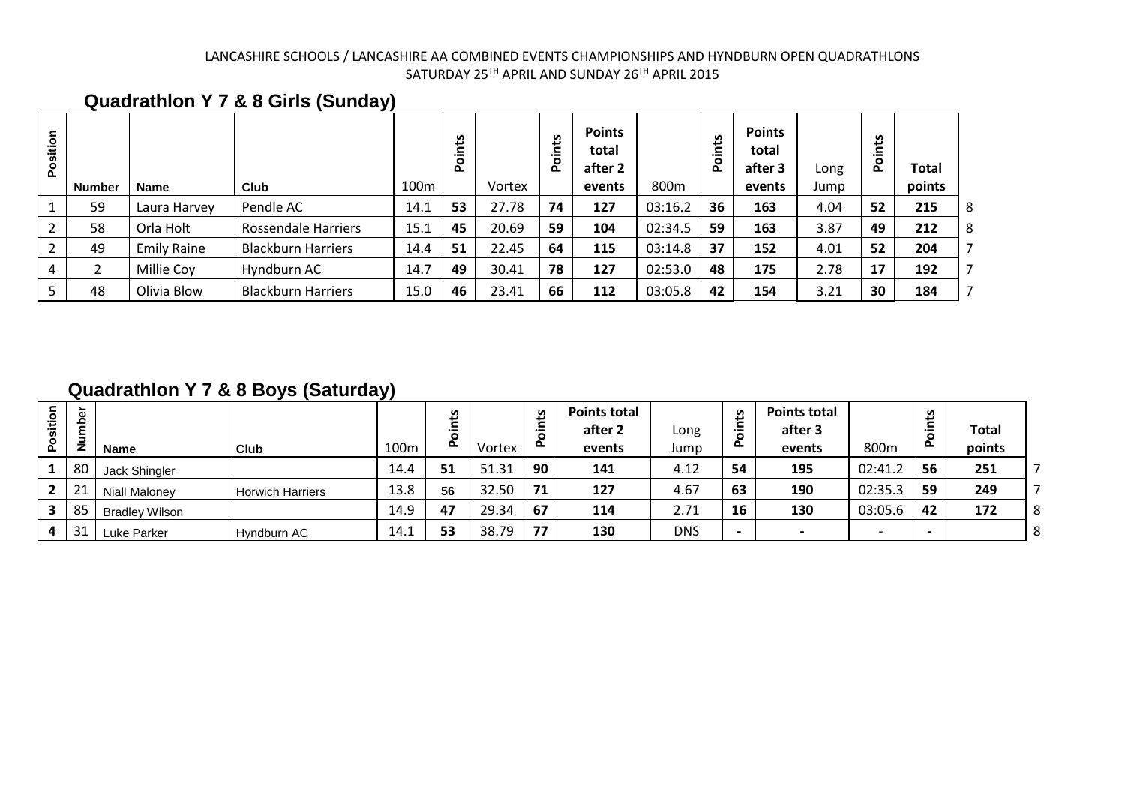## **Quadrathlon Y 7 & 8 Girls (Sunday)**

| Position | <b>Number</b> | <b>Name</b>        | Club                       | 100 <sub>m</sub> | مّ±<br>$\circ$<br>$\sim$ | Vortex | nts<br>._<br>$\circ$<br>$\tilde{\mathbf{a}}$ | <b>Points</b><br>total<br>after 2<br>events | 800m    | Points | <b>Points</b><br>total<br>after 3<br>events | Long<br>Jump | S<br>$\circ$ | <b>Total</b><br>points |   |
|----------|---------------|--------------------|----------------------------|------------------|--------------------------|--------|----------------------------------------------|---------------------------------------------|---------|--------|---------------------------------------------|--------------|--------------|------------------------|---|
|          | 59            | Laura Harvey       | Pendle AC                  | 14.1             | 53                       | 27.78  | 74                                           | 127                                         | 03:16.2 | 36     | 163                                         | 4.04         | 52           | 215                    | 8 |
|          | 58            | Orla Holt          | <b>Rossendale Harriers</b> | 15.1             | 45                       | 20.69  | 59                                           | 104                                         | 02:34.5 | 59     | 163                                         | 3.87         | 49           | 212                    | 8 |
|          | 49            | <b>Emily Raine</b> | <b>Blackburn Harriers</b>  | 14.4             | 51                       | 22.45  | 64                                           | 115                                         | 03:14.8 | 37     | 152                                         | 4.01         | 52           | 204                    |   |
| 4        |               | Millie Coy         | Hyndburn AC                | 14.7             | 49                       | 30.41  | 78                                           | 127                                         | 02:53.0 | 48     | 175                                         | 2.78         | 17           | 192                    |   |
|          | 48            | Olivia Blow        | <b>Blackburn Harriers</b>  | 15.0             | 46                       | 23.41  | 66                                           | 112                                         | 03:05.8 | 42     | 154                                         | 3.21         | 30           | 184                    |   |

### **Quadrathlon Y 7 & 8 Boys (Saturday)**

| <u>ه.</u>    | ৯<br>읔<br>≍ | <b>Name</b>           | Club                    | - -<br>100m | w<br><u>. .</u> | Vortex | <u>ی</u><br><b>_</b><br><b>۰</b> ō | <b>Points total</b><br>after 2<br>events | Long<br>Jump | <u>ي</u><br>⊆<br>'⊼<br>$\sim$ | <b>Points total</b><br>after 3<br>events | 800m    | n<br>௳                   | <b>Total</b><br>points |  |
|--------------|-------------|-----------------------|-------------------------|-------------|-----------------|--------|------------------------------------|------------------------------------------|--------------|-------------------------------|------------------------------------------|---------|--------------------------|------------------------|--|
|              | 80          | Jack Shingler         |                         | 14.4        | 51              | 51.31  | 90                                 | 141                                      | 4.12         | 54                            | 195                                      | 02:41.2 | 56                       | 251                    |  |
| $\mathbf{2}$ | 21          | <b>Niall Maloney</b>  | <b>Horwich Harriers</b> | 13.8        | 56              | 32.50  | 71                                 | 127                                      | 4.67         | 63                            | 190                                      | 02:35.3 | 59                       | 249                    |  |
| 3            | 85          | <b>Bradlev Wilson</b> |                         | 14.9        | 47              | 29.34  | 67                                 | 114                                      | 2.71         | 16                            | 130                                      | 03:05.6 | 42                       | 172                    |  |
| 4            | 31          | Luke Parker           | Hyndburn AC             | 14.1        | 53              | 38.79  | 77                                 | 130                                      | <b>DNS</b>   | -                             |                                          |         | $\overline{\phantom{0}}$ |                        |  |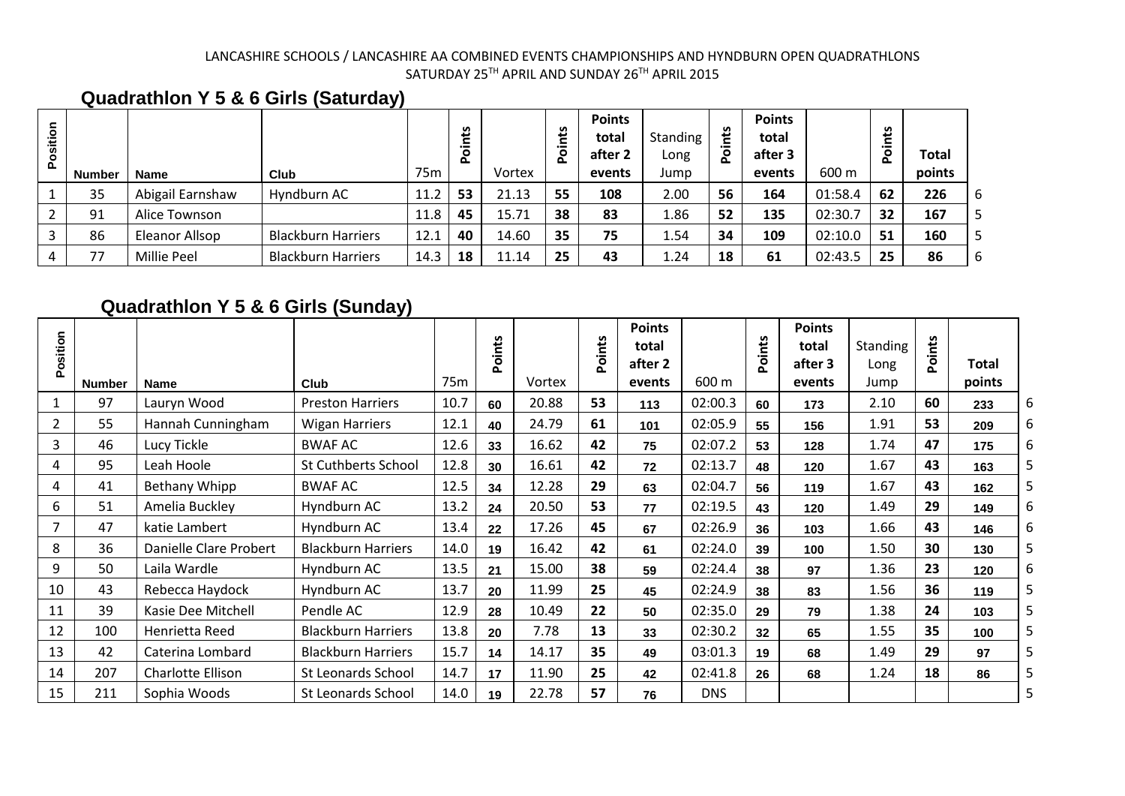### **Quadrathlon Y 5 & 6 Girls (Saturday)**

| Position | <b>Number</b> | <b>Name</b>        | Club                      | 75m  | Ë<br>ā | Vortex | n<br>Ë<br>٥ | <b>Points</b><br>total<br>after 2<br>events | Standing<br>Long<br>Jump | nts<br>$\overline{2}$ | <b>Points</b><br>total<br>after 3<br>events | 600 m   | 53<br>ō.<br>௳ | <b>Total</b><br>points |   |
|----------|---------------|--------------------|---------------------------|------|--------|--------|-------------|---------------------------------------------|--------------------------|-----------------------|---------------------------------------------|---------|---------------|------------------------|---|
|          | 35            | Abigail Earnshaw   | Hyndburn AC               | 11.2 | 53     | 21.13  | 55          | 108                                         | 2.00                     | 56                    | 164                                         | 01:58.4 | 62            | 226                    | 6 |
|          | 91            | Alice Townson      |                           | 11.8 | 45     | 15.71  | 38          | 83                                          | 1.86                     | 52                    | 135                                         | 02:30.7 | 32            | 167                    |   |
|          | 86            | Eleanor Allsop     | <b>Blackburn Harriers</b> | 12.1 | 40     | 14.60  | 35          | 75                                          | 1.54                     | 34                    | 109                                         | 02:10.0 | 51            | 160                    |   |
| 4        | 77            | <b>Millie Peel</b> | <b>Blackburn Harriers</b> | 14.3 | 18     | 11.14  | 25          | 43                                          | 1.24                     | 18                    | 61                                          | 02:43.5 | 25            | 86                     | 6 |

## **Quadrathlon Y 5 & 6 Girls (Sunday)**

| Position |               |                        |                            |      | Points |        | Points | <b>Points</b><br>total<br>after 2 |            | Points | <b>Points</b><br>total<br>after 3 | Standing<br>Long | nts<br>ë | Total  |   |
|----------|---------------|------------------------|----------------------------|------|--------|--------|--------|-----------------------------------|------------|--------|-----------------------------------|------------------|----------|--------|---|
|          | <b>Number</b> | <b>Name</b>            | Club                       | 75m  |        | Vortex |        | events                            | 600 m      |        | events                            | Jump             |          | points |   |
|          | 97            | Lauryn Wood            | <b>Preston Harriers</b>    | 10.7 | 60     | 20.88  | 53     | 113                               | 02:00.3    | 60     | 173                               | 2.10             | 60       | 233    | 6 |
| 2        | 55            | Hannah Cunningham      | <b>Wigan Harriers</b>      | 12.1 | 40     | 24.79  | 61     | 101                               | 02:05.9    | 55     | 156                               | 1.91             | 53       | 209    | 6 |
| 3        | 46            | Lucy Tickle            | <b>BWAF AC</b>             | 12.6 | 33     | 16.62  | 42     | 75                                | 02:07.2    | 53     | 128                               | 1.74             | 47       | 175    | 6 |
| 4        | 95            | Leah Hoole             | <b>St Cuthberts School</b> | 12.8 | 30     | 16.61  | 42     | 72                                | 02:13.7    | 48     | 120                               | 1.67             | 43       | 163    | 5 |
| 4        | 41            | Bethany Whipp          | <b>BWAF AC</b>             | 12.5 | 34     | 12.28  | 29     | 63                                | 02:04.7    | 56     | 119                               | 1.67             | 43       | 162    | 5 |
| 6        | 51            | Amelia Buckley         | Hyndburn AC                | 13.2 | 24     | 20.50  | 53     | 77                                | 02:19.5    | 43     | 120                               | 1.49             | 29       | 149    | 6 |
|          | 47            | katie Lambert          | Hyndburn AC                | 13.4 | 22     | 17.26  | 45     | 67                                | 02:26.9    | 36     | 103                               | 1.66             | 43       | 146    | 6 |
| 8        | 36            | Danielle Clare Probert | <b>Blackburn Harriers</b>  | 14.0 | 19     | 16.42  | 42     | 61                                | 02:24.0    | 39     | 100                               | 1.50             | 30       | 130    | 5 |
| 9        | 50            | Laila Wardle           | Hyndburn AC                | 13.5 | 21     | 15.00  | 38     | 59                                | 02:24.4    | 38     | 97                                | 1.36             | 23       | 120    | 6 |
| 10       | 43            | Rebecca Haydock        | Hyndburn AC                | 13.7 | 20     | 11.99  | 25     | 45                                | 02:24.9    | 38     | 83                                | 1.56             | 36       | 119    |   |
| 11       | 39            | Kasie Dee Mitchell     | Pendle AC                  | 12.9 | 28     | 10.49  | 22     | 50                                | 02:35.0    | 29     | 79                                | 1.38             | 24       | 103    | 5 |
| 12       | 100           | Henrietta Reed         | <b>Blackburn Harriers</b>  | 13.8 | 20     | 7.78   | 13     | 33                                | 02:30.2    | 32     | 65                                | 1.55             | 35       | 100    | 5 |
| 13       | 42            | Caterina Lombard       | <b>Blackburn Harriers</b>  | 15.7 | 14     | 14.17  | 35     | 49                                | 03:01.3    | 19     | 68                                | 1.49             | 29       | 97     | 5 |
| 14       | 207           | Charlotte Ellison      | St Leonards School         | 14.7 | 17     | 11.90  | 25     | 42                                | 02:41.8    | 26     | 68                                | 1.24             | 18       | 86     |   |
| 15       | 211           | Sophia Woods           | St Leonards School         | 14.0 | 19     | 22.78  | 57     | 76                                | <b>DNS</b> |        |                                   |                  |          |        | 5 |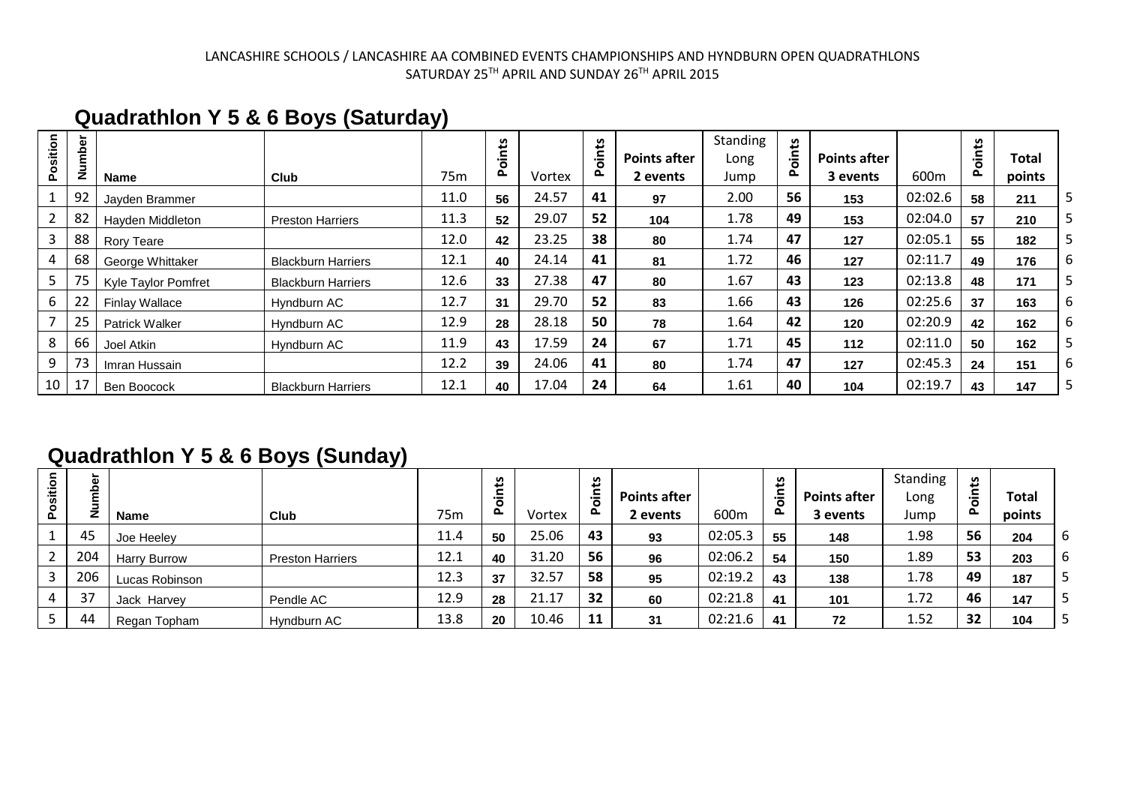# **Quadrathlon Y 5 & 6 Boys (Saturday)**

| Position | mber<br>z | Name                       | Club                      | 75 <sub>m</sub> | مِّ±<br>$\cdot$<br>$\overline{a}$ | Vortex | <u>ی</u><br>Point | <b>Points after</b><br>2 events | Standing<br>Long<br>Jump | مّ±<br>Poin | <b>Points after</b><br>3 events | 600m    | Points | Total<br>points |   |
|----------|-----------|----------------------------|---------------------------|-----------------|-----------------------------------|--------|-------------------|---------------------------------|--------------------------|-------------|---------------------------------|---------|--------|-----------------|---|
|          | 92        | Jayden Brammer             |                           | 11.0            | 56                                | 24.57  | 41                | 97                              | 2.00                     | 56          | 153                             | 02:02.6 | 58     | 211             |   |
|          | 82        | Hayden Middleton           | <b>Preston Harriers</b>   | 11.3            | 52                                | 29.07  | 52                | 104                             | 1.78                     | 49          | 153                             | 02:04.0 | 57     | 210             |   |
| 3        | 88        | Rory Teare                 |                           | 12.0            | 42                                | 23.25  | 38                | 80                              | 1.74                     | 47          | 127                             | 02:05.1 | 55     | 182             |   |
| 4        | 68        | George Whittaker           | <b>Blackburn Harriers</b> | 12.1            | 40                                | 24.14  | 41                | 81                              | 1.72                     | 46          | 127                             | 02:11.7 | 49     | 176             | 6 |
| 5.       | 75        | <b>Kyle Taylor Pomfret</b> | <b>Blackburn Harriers</b> | 12.6            | 33                                | 27.38  | 47                | 80                              | 1.67                     | 43          | 123                             | 02:13.8 | 48     | 171             |   |
| 6        | 22        | <b>Finlay Wallace</b>      | Hyndburn AC               | 12.7            | 31                                | 29.70  | 52                | 83                              | 1.66                     | 43          | 126                             | 02:25.6 | 37     | 163             | 6 |
|          | 25        | <b>Patrick Walker</b>      | Hyndburn AC               | 12.9            | 28                                | 28.18  | 50                | 78                              | 1.64                     | 42          | 120                             | 02:20.9 | 42     | 162             | 6 |
| 8        | 66        | Joel Atkin                 | Hyndburn AC               | 11.9            | 43                                | 17.59  | 24                | 67                              | 1.71                     | 45          | 112                             | 02:11.0 | 50     | 162             |   |
| 9        | 73        | Imran Hussain              |                           | 12.2            | 39                                | 24.06  | 41                | 80                              | 1.74                     | 47          | 127                             | 02:45.3 | 24     | 151             | 6 |
| 10       | 17        | Ben Boocock                | <b>Blackburn Harriers</b> | 12.1            | 40                                | 17.04  | 24                | 64                              | 1.61                     | 40          | 104                             | 02:19.7 | 43     | 147             |   |

# **Quadrathlon Y 5 & 6 Boys (Sunday)**

| sitio | ►<br>을 | <b>Name</b>         | Club                    | 75 <sub>m</sub> | ی<br>௳ | Vortex | مِّ+<br>öin<br>$\tilde{\mathbf{r}}$ | <b>Points after</b><br>2 events | 600m    | ى<br>$\overline{\phantom{0}}$<br>$\sim$ | <b>Points after</b><br>3 events | Standing<br>Long<br>Jump | oints<br>௳ | Total<br>points |   |
|-------|--------|---------------------|-------------------------|-----------------|--------|--------|-------------------------------------|---------------------------------|---------|-----------------------------------------|---------------------------------|--------------------------|------------|-----------------|---|
|       | 45     | Joe Heeley          |                         | 11.4            | 50     | 25.06  | 43                                  | 93                              | 02:05.3 | 55                                      | 148                             | 1.98                     | 56         | 204             |   |
|       | 204    | <b>Harry Burrow</b> | <b>Preston Harriers</b> | 12.1            | 40     | 31.20  | 56                                  | 96                              | 02:06.2 | 54                                      | 150                             | 1.89                     | 53         | 203             | b |
|       | 206    | Lucas Robinson      |                         | 12.3            | 37     | 32.57  | 58                                  | 95                              | 02:19.2 | 43                                      | 138                             | 1.78                     | 49         | 187             |   |
|       | 37     | Jack Harvey         | Pendle AC               | 12.9            | 28     | 21.17  | 32                                  | 60                              | 02:21.8 | 41                                      | 101                             | 1.72                     | 46         | 147             |   |
|       | 44     | Regan Topham        | Hyndburn AC             | 13.8            | 20     | 10.46  | 11                                  | 31                              | 02:21.6 | 41                                      | 72                              | 1.52                     | 32         | 104             |   |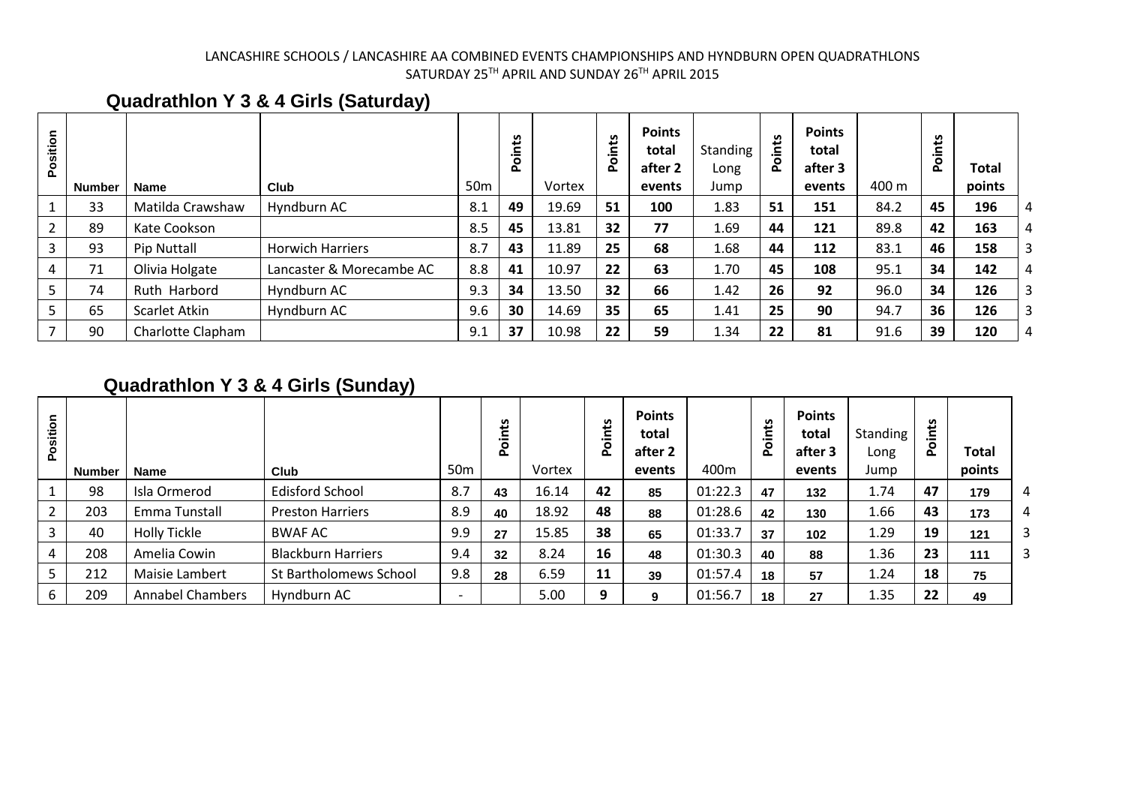### **Quadrathlon Y 3 & 4 Girls (Saturday)**

| Position | <b>Number</b> | <b>Name</b>       | <b>Club</b>              | 50 <sub>m</sub> | oints<br>$\sim$ | Vortex | <b>S</b><br>ဥ | <b>Points</b><br>total<br>after 2<br>events | Standing<br>Long<br>Jump | nts<br>ဥ | <b>Points</b><br>total<br>after 3<br>events | 400 m | oints<br>C | <b>Total</b><br>points |   |
|----------|---------------|-------------------|--------------------------|-----------------|-----------------|--------|---------------|---------------------------------------------|--------------------------|----------|---------------------------------------------|-------|------------|------------------------|---|
|          | 33            | Matilda Crawshaw  | Hyndburn AC              | 8.1             | 49              | 19.69  | 51            | 100                                         | 1.83                     | 51       | 151                                         | 84.2  | 45         | 196                    | 4 |
|          | 89            | Kate Cookson      |                          | 8.5             | 45              | 13.81  | 32            | 77                                          | 1.69                     | 44       | 121                                         | 89.8  | 42         | 163                    | 4 |
| 3        | 93            | Pip Nuttall       | <b>Horwich Harriers</b>  | 8.7             | 43              | 11.89  | 25            | 68                                          | 1.68                     | 44       | 112                                         | 83.1  | 46         | 158                    |   |
| 4        | 71            | Olivia Holgate    | Lancaster & Morecambe AC | 8.8             | 41              | 10.97  | 22            | 63                                          | 1.70                     | 45       | 108                                         | 95.1  | 34         | 142                    | 4 |
|          | 74            | Ruth Harbord      | Hyndburn AC              | 9.3             | 34              | 13.50  | 32            | 66                                          | 1.42                     | 26       | 92                                          | 96.0  | 34         | 126                    |   |
|          | 65            | Scarlet Atkin     | Hyndburn AC              | 9.6             | 30              | 14.69  | 35            | 65                                          | 1.41                     | 25       | 90                                          | 94.7  | 36         | 126                    |   |
|          | 90            | Charlotte Clapham |                          | 9.1             | 37              | 10.98  | 22            | 59                                          | 1.34                     | 22       | 81                                          | 91.6  | 39         | 120                    | 4 |

### **Quadrathlon Y 3 & 4 Girls (Sunday)**

|          |               |                         | . .                       |                          |                   |        |              |                                             |         |              |                                             |                          |                   |                        |   |
|----------|---------------|-------------------------|---------------------------|--------------------------|-------------------|--------|--------------|---------------------------------------------|---------|--------------|---------------------------------------------|--------------------------|-------------------|------------------------|---|
| Position | <b>Number</b> | <b>Name</b>             | <b>Club</b>               | 50 <sub>m</sub>          | 5<br>.=<br>٥<br>௳ | Vortex | ۩<br>.=<br>௳ | <b>Points</b><br>total<br>after 2<br>events | 400m    | n<br>نڊ<br>௳ | <b>Points</b><br>total<br>after 3<br>events | Standing<br>Long<br>Jump | ints<br><b>Po</b> | <b>Total</b><br>points |   |
|          | 98            | Isla Ormerod            | <b>Edisford School</b>    | 8.7                      | 43                | 16.14  | 42           | 85                                          | 01:22.3 | 47           | 132                                         | 1.74                     | 47                | 179                    | 4 |
|          | 203           | Emma Tunstall           | <b>Preston Harriers</b>   | 8.9                      | 40                | 18.92  | 48           | 88                                          | 01:28.6 | 42           | 130                                         | 1.66                     | 43                | 173                    | 4 |
|          | 40            | Holly Tickle            | <b>BWAF AC</b>            | 9.9                      | 27                | 15.85  | 38           | 65                                          | 01:33.7 | 37           | 102                                         | 1.29                     | 19                | $121$                  | 3 |
| 4        | 208           | Amelia Cowin            | <b>Blackburn Harriers</b> | 9.4                      | 32 <sup>2</sup>   | 8.24   | 16           | 48                                          | 01:30.3 | 40           | 88                                          | 1.36                     | 23                | 111                    | 3 |
|          | 212           | Maisie Lambert          | St Bartholomews School    | 9.8                      | 28                | 6.59   | 11           | 39                                          | 01:57.4 | 18           | 57                                          | 1.24                     | 18                | 75                     |   |
| 6        | 209           | <b>Annabel Chambers</b> | Hyndburn AC               | $\overline{\phantom{0}}$ |                   | 5.00   | 9            | 9                                           | 01:56.7 | 18           | 27                                          | 1.35                     | 22                | 49                     |   |